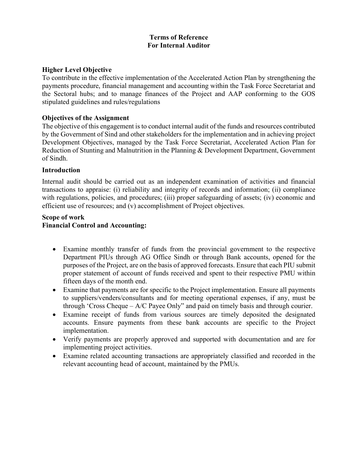## Terms of Reference For Internal Auditor

### Higher Level Objective

To contribute in the effective implementation of the Accelerated Action Plan by strengthening the payments procedure, financial management and accounting within the Task Force Secretariat and the Sectoral hubs; and to manage finances of the Project and AAP conforming to the GOS stipulated guidelines and rules/regulations

### Objectives of the Assignment

The objective of this engagement is to conduct internal audit of the funds and resources contributed by the Government of Sind and other stakeholders for the implementation and in achieving project Development Objectives, managed by the Task Force Secretariat, Accelerated Action Plan for Reduction of Stunting and Malnutrition in the Planning & Development Department, Government of Sindh.

### Introduction

Internal audit should be carried out as an independent examination of activities and financial transactions to appraise: (i) reliability and integrity of records and information; (ii) compliance with regulations, policies, and procedures; (iii) proper safeguarding of assets; (iv) economic and efficient use of resources; and (v) accomplishment of Project objectives.

### Scope of work Financial Control and Accounting:

- Examine monthly transfer of funds from the provincial government to the respective Department PIUs through AG Office Sindh or through Bank accounts, opened for the purposes of the Project, are on the basis of approved forecasts. Ensure that each PIU submit proper statement of account of funds received and spent to their respective PMU within fifteen days of the month end.
- Examine that payments are for specific to the Project implementation. Ensure all payments to suppliers/venders/consultants and for meeting operational expenses, if any, must be through 'Cross Cheque – A/C Payee Only" and paid on timely basis and through courier.
- Examine receipt of funds from various sources are timely deposited the designated accounts. Ensure payments from these bank accounts are specific to the Project implementation.
- Verify payments are properly approved and supported with documentation and are for implementing project activities.
- Examine related accounting transactions are appropriately classified and recorded in the relevant accounting head of account, maintained by the PMUs.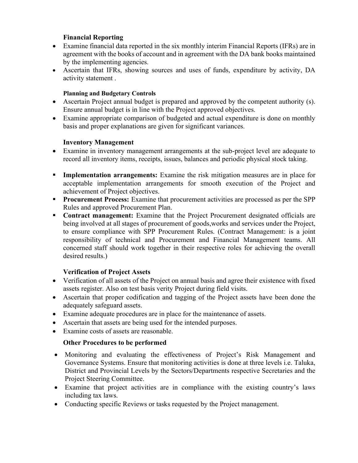## Financial Reporting

- Examine financial data reported in the six monthly interim Financial Reports (IFRs) are in agreement with the books of account and in agreement with the DA bank books maintained by the implementing agencies.
- Ascertain that IFRs, showing sources and uses of funds, expenditure by activity, DA activity statement .

## Planning and Budgetary Controls

- Ascertain Project annual budget is prepared and approved by the competent authority (s). Ensure annual budget is in line with the Project approved objectives.
- Examine appropriate comparison of budgeted and actual expenditure is done on monthly basis and proper explanations are given for significant variances.

## Inventory Management

- Examine in inventory management arrangements at the sub-project level are adequate to record all inventory items, receipts, issues, balances and periodic physical stock taking.
- **Implementation arrangements:** Examine the risk mitigation measures are in place for acceptable implementation arrangements for smooth execution of the Project and achievement of Project objectives.
- **Procurement Process:** Examine that procurement activities are processed as per the SPP Rules and approved Procurement Plan.
- **Contract management:** Examine that the Project Procurement designated officials are being involved at all stages of procurement of goods,works and services under the Project, to ensure compliance with SPP Procurement Rules. (Contract Management: is a joint responsibility of technical and Procurement and Financial Management teams. All concerned staff should work together in their respective roles for achieving the overall desired results.)

# Verification of Project Assets

- Verification of all assets of the Project on annual basis and agree their existence with fixed assets register. Also on test basis verity Project during field visits.
- Ascertain that proper codification and tagging of the Project assets have been done the adequately safeguard assets.
- Examine adequate procedures are in place for the maintenance of assets.
- Ascertain that assets are being used for the intended purposes.
- Examine costs of assets are reasonable.

# Other Procedures to be performed

- Monitoring and evaluating the effectiveness of Project's Risk Management and Governance Systems. Ensure that monitoring activities is done at three levels i.e. Taluka, District and Provincial Levels by the Sectors/Departments respective Secretaries and the Project Steering Committee.
- Examine that project activities are in compliance with the existing country's laws including tax laws.
- Conducting specific Reviews or tasks requested by the Project management.